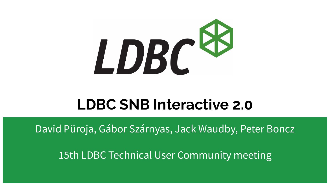

### **LDBC SNB Interactive 2.0**

David Püroja, Gábor Szárnyas, Jack Waudby, Peter Boncz

15th LDBC Technical User Community meeting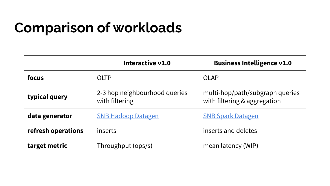# **Comparison of workloads**

|                    | Interactive v1.0                                | <b>Business Intelligence v1.0</b>                               |
|--------------------|-------------------------------------------------|-----------------------------------------------------------------|
| focus              | OLTP                                            | OLAP                                                            |
| typical query      | 2-3 hop neighbourhood queries<br>with filtering | multi-hop/path/subgraph queries<br>with filtering & aggregation |
| data generator     | <b>SNB Hadoop Datagen</b>                       | <b>SNB Spark Datagen</b>                                        |
| refresh operations | inserts                                         | inserts and deletes                                             |
| target metric      | Throughput (ops/s)                              | mean latency (WIP)                                              |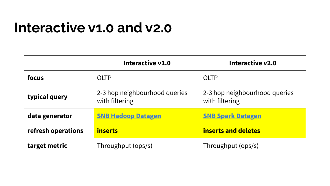### **Interactive v1.0 and v2.0**

|                    | Interactive v1.0                                | Interactive v2.0                                |
|--------------------|-------------------------------------------------|-------------------------------------------------|
| focus              | OLTP                                            | OLTP                                            |
| typical query      | 2-3 hop neighbourhood queries<br>with filtering | 2-3 hop neighbourhood queries<br>with filtering |
| data generator     | <b>SNB Hadoop Datagen</b>                       | <b>SNB Spark Datagen</b>                        |
| refresh operations | inserts                                         | inserts and deletes                             |
| target metric      | Throughput (ops/s)                              | Throughput (ops/s)                              |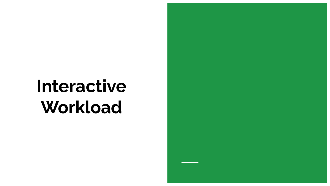# **Interactive Workload**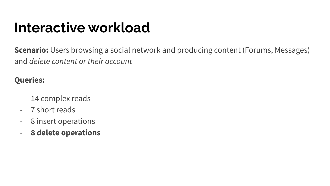## **Interactive workload**

**Scenario:** Users browsing a social network and producing content (Forums, Messages) and *delete content or their account*

#### **Queries:**

- 14 complex reads
- 7 short reads
- 8 insert operations
- **8 delete operations**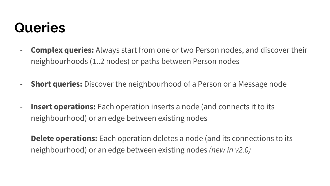### **Queries**

- **Complex queries:** Always start from one or two Person nodes, and discover their neighbourhoods (1..2 nodes) or paths between Person nodes
- **Short queries:** Discover the neighbourhood of a Person or a Message node
- **Insert operations:** Each operation inserts a node (and connects it to its neighbourhood) or an edge between existing nodes
- **Delete operations:** Each operation deletes a node (and its connections to its neighbourhood) or an edge between existing nodes *(new in v2.0)*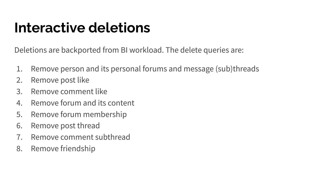# **Interactive deletions**

Deletions are backported from BI workload. The delete queries are:

- 1. Remove person and its personal forums and message (sub)threads
- 2. Remove post like
- 3. Remove comment like
- 4. Remove forum and its content
- 5. Remove forum membership
- 6. Remove post thread
- 7. Remove comment subthread
- 8. Remove friendship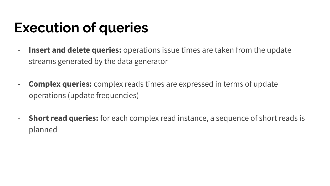## **Execution of queries**

- **Insert and delete queries:** operations issue times are taken from the update streams generated by the data generator
- **Complex queries:** complex reads times are expressed in terms of update operations (update frequencies)
- **Short read queries:** for each complex read instance, a sequence of short reads is planned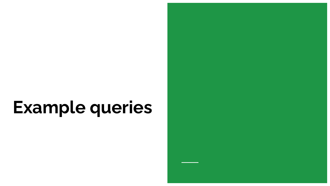# **Example queries**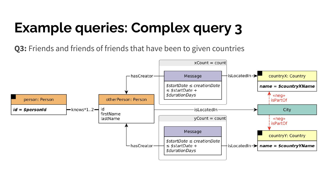# **Example queries: Complex query 3**

**Q3:** Friends and friends of friends that have been to given countries

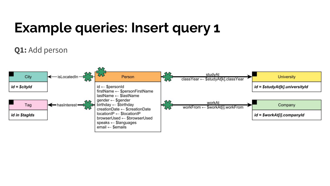# **Example queries: Insert query 1**

#### **Q1:** Add person

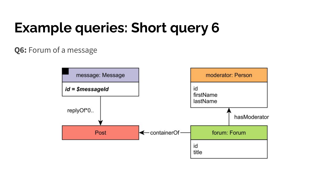# **Example queries: Short query 6**

#### **Q6:** Forum of a message

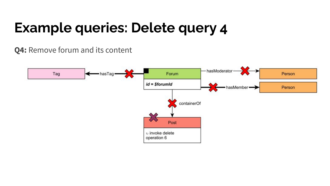# **Example queries: Delete query 4**

#### **Q4:** Remove forum and its content

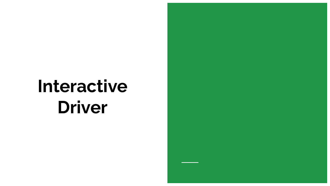# **Interactive Driver**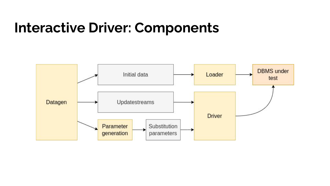### **Interactive Driver: Components**

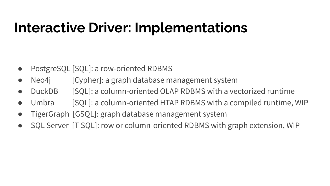# **Interactive Driver: Implementations**

- PostgreSQL [SQL]: a row-oriented RDBMS
- Neo4j [Cypher]: a graph database management system
- DuckDB [SQL]: a column-oriented OLAP RDBMS with a vectorized runtime
- Umbra [SQL]: a column-oriented HTAP RDBMS with a compiled runtime, WIP
- TigerGraph [GSQL]: graph database management system
- SQL Server [T-SQL]: row or column-oriented RDBMS with graph extension, WIP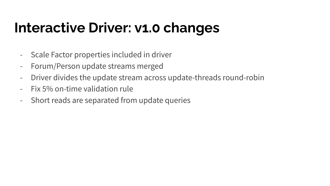# **Interactive Driver: v1.0 changes**

- Scale Factor properties included in driver
- Forum/Person update streams merged
- Driver divides the update stream across update-threads round-robin
- Fix 5% on-time validation rule
- Short reads are separated from update queries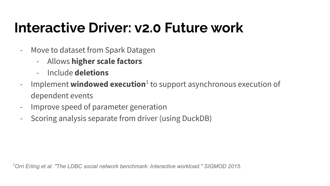# **Interactive Driver: v2.0 Future work**

- Move to dataset from Spark Datagen
	- Allows **higher scale factors**
	- Include **deletions**
- Implement **windowed execution**<sup>1</sup> to support asynchronous execution of dependent events
- Improve speed of parameter generation
- Scoring analysis separate from driver (using DuckDB)

*1Orri Erling et al. "The LDBC social network benchmark: Interactive workload." SIGMOD 2015.*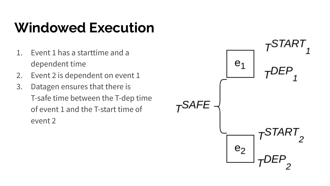# **Windowed Execution**

- 1. Event 1 has a starttime and a dependent time
- 2. Event 2 is dependent on event 1
- 3. Datagen ensures that there is T-safe time between the T-dep time of event 1 and the T-start time of event 2

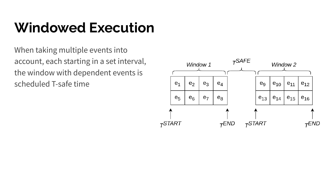# **Windowed Execution**

When taking multiple events into account, each starting in a set interval, the window with dependent events is scheduled T-safe time

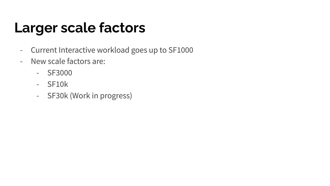# **Larger scale factors**

- Current Interactive workload goes up to SF1000
- New scale factors are:
	- SF3000
	- SF10k
	- SF30k (Work in progress)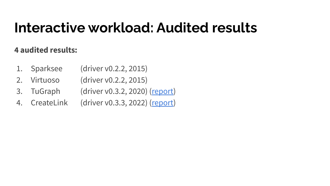## **Interactive workload: Audited results**

#### **4 audited results:**

- 1. Sparksee (driver v0.2.2, 2015)
- 2. Virtuoso (driver v0.2.2, 2015)
- 3. TuGraph (driver v0.3.2, 2020) [\(report](https://ldbcouncil.org/benchmarks/snb/LDBC_SNB_I_20200726_SF30-100-300_tugraph.pdf))
- 4. CreateLink (driver v0.3.3, 2022) [\(report](https://ldbcouncil.org/benchmarks/snb/LDBC_SNB_I_20220516_SF30-100-300_galaxybase.pdf))